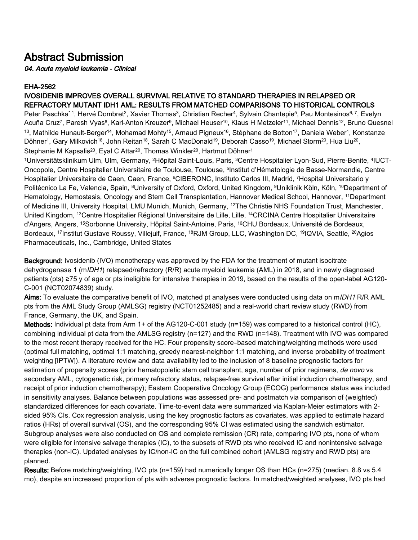## Abstract Submission

04. Acute myeloid leukemia - Clinical

## EHA-2562

## IVOSIDENIB IMPROVES OVERALL SURVIVAL RELATIVE TO STANDARD THERAPIES IN RELAPSED OR REFRACTORY MUTANT IDH1 AML: RESULTS FROM MATCHED COMPARISONS TO HISTORICAL CONTROLS

Peter Paschka\*1, Hervé Dombret<sup>2</sup>, Xavier Thomas<sup>3</sup>, Christian Recher<sup>4</sup>, Sylvain Chantepie<sup>5</sup>, Pau Montesinos<sup>6, 7</sup>, Evelyn Acuña Cruz<sup>7</sup>, Paresh Vyas<sup>8</sup>, Karl-Anton Kreuzer<sup>9</sup>, Michael Heuser<sup>10</sup>, Klaus H Metzeler<sup>11</sup>, Michael Dennis<sup>12</sup>, Bruno Quesnel <sup>13</sup>, Mathilde Hunault-Berger<sup>14</sup>, Mohamad Mohty<sup>15</sup>, Arnaud Pigneux<sup>16</sup>, Stéphane de Botton<sup>17</sup>, Daniela Weber<sup>1</sup>, Konstanze Döhner<sup>1</sup>, Gary Milkovich<sup>18</sup>, John Reitan<sup>18</sup>, Sarah C MacDonald<sup>19</sup>, Deborah Casso<sup>19</sup>, Michael Storm<sup>20</sup>, Hua Liu<sup>20</sup>, Stephanie M Kapsalis<sup>20</sup>, Eyal C Attar<sup>20</sup>, Thomas Winkler<sup>20</sup>, Hartmut Döhner<sup>1</sup>

<sup>1</sup>Universitätsklinikum Ulm, Ulm, Germany, <sup>2</sup>Hôpital Saint-Louis, Paris, <sup>3</sup>Centre Hospitalier Lyon-Sud, Pierre-Benite, <sup>4</sup>IUCT-Oncopole, Centre Hospitalier Universitaire de Toulouse, Toulouse, <sup>5</sup>Institut d'Hématologie de Basse-Normandie, Centre Hospitalier Universitaire de Caen, Caen, France, <sup>6</sup>CIBERONC, Instituto Carlos III, Madrid, 7Hospital Universitario y Politécnico La Fe, Valencia, Spain, <sup>8</sup>University of Oxford, Oxford, United Kingdom, <sup>9</sup>Uniklinik Köln, Köln, <sup>10</sup>Department of Hematology, Hemostasis, Oncology and Stem Cell Transplantation, Hannover Medical School, Hannover, <sup>11</sup>Department of Medicine III, University Hospital, LMU Munich, Munich, Germany, <sup>12</sup>The Christie NHS Foundation Trust, Manchester, United Kingdom, <sup>13</sup>Centre Hospitalier Régional Universitaire de Lille, Lille, <sup>14</sup>CRCINA Centre Hospitalier Universitaire d'Angers, Angers, <sup>15</sup>Sorbonne University, Hôpital Saint-Antoine, Paris, <sup>16</sup>CHU Bordeaux, Université de Bordeaux, Bordeaux, <sup>17</sup>Institut Gustave Roussy, Villejuif, France, <sup>18</sup>RJM Group, LLC, Washington DC, <sup>19</sup>IQVIA, Seattle, <sup>20</sup>Agios Pharmaceuticals, Inc., Cambridge, United States

Background: Ivosidenib (IVO) monotherapy was approved by the FDA for the treatment of mutant isocitrate dehydrogenase 1 (mIDH1) relapsed/refractory (R/R) acute myeloid leukemia (AML) in 2018, and in newly diagnosed patients (pts) ≥75 y of age or pts ineligible for intensive therapies in 2019, based on the results of the open-label AG120- C-001 (NCT02074839) study.

Aims: To evaluate the comparative benefit of IVO, matched pt analyses were conducted using data on mIDH1 R/R AML pts from the AML Study Group (AMLSG) registry (NCT01252485) and a real-world chart review study (RWD) from France, Germany, the UK, and Spain.

Methods: Individual pt data from Arm 1+ of the AG120-C-001 study (n=159) was compared to a historical control (HC), combining individual pt data from the AMLSG registry (n=127) and the RWD (n=148). Treatment with IVO was compared to the most recent therapy received for the HC. Four propensity score–based matching/weighting methods were used (optimal full matching, optimal 1:1 matching, greedy nearest-neighbor 1:1 matching, and inverse probability of treatment weighting [IPTW]). A literature review and data availability led to the inclusion of 8 baseline prognostic factors for estimation of propensity scores (prior hematopoietic stem cell transplant, age, number of prior regimens, de novo vs secondary AML, cytogenetic risk, primary refractory status, relapse-free survival after initial induction chemotherapy, and receipt of prior induction chemotherapy); Eastern Cooperative Oncology Group (ECOG) performance status was included in sensitivity analyses. Balance between populations was assessed pre- and postmatch via comparison of (weighted) standardized differences for each covariate. Time-to-event data were summarized via Kaplan-Meier estimators with 2 sided 95% CIs. Cox regression analysis, using the key prognostic factors as covariates, was applied to estimate hazard ratios (HRs) of overall survival (OS), and the corresponding 95% CI was estimated using the sandwich estimator. Subgroup analyses were also conducted on OS and complete remission (CR) rate, comparing IVO pts, none of whom were eligible for intensive salvage therapies (IC), to the subsets of RWD pts who received IC and nonintensive salvage therapies (non-IC). Updated analyses by IC/non-IC on the full combined cohort (AMLSG registry and RWD pts) are planned.

Results: Before matching/weighting, IVO pts (n=159) had numerically longer OS than HCs (n=275) (median, 8.8 vs 5.4 mo), despite an increased proportion of pts with adverse prognostic factors. In matched/weighted analyses, IVO pts had